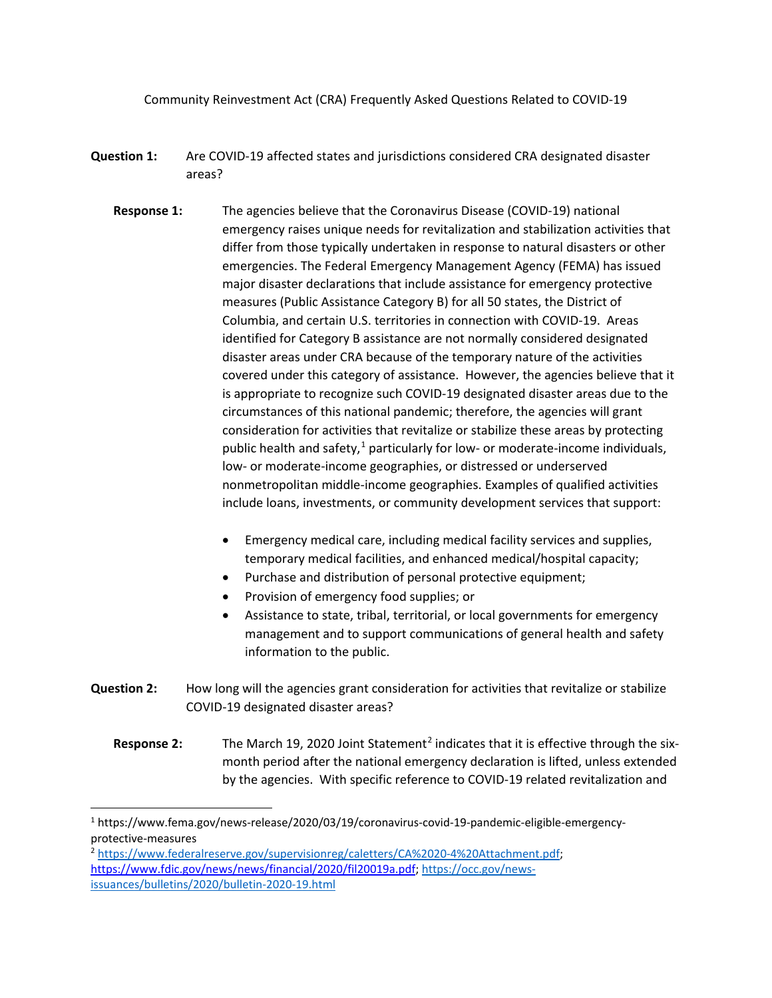Community Reinvestment Act (CRA) Frequently Asked Questions Related to COVID-19

- **Question 1:** Are COVID-19 affected states and jurisdictions considered CRA designated disaster areas?
	- **Response 1:** The agencies believe that the Coronavirus Disease (COVID-19) national emergency raises unique needs for revitalization and stabilization activities that differ from those typically undertaken in response to natural disasters or other emergencies. The Federal Emergency Management Agency (FEMA) has issued major disaster declarations that include assistance for emergency protective measures (Public Assistance Category B) for all 50 states, the District of Columbia, and certain U.S. territories in connection with COVID-19. Areas identified for Category B assistance are not normally considered designated disaster areas under CRA because of the temporary nature of the activities covered under this category of assistance. However, the agencies believe that it is appropriate to recognize such COVID-19 designated disaster areas due to the circumstances of this national pandemic; therefore, the agencies will grant consideration for activities that revitalize or stabilize these areas by protecting public health and safety, $1$  particularly for low- or moderate-income individuals, low- or moderate-income geographies, or distressed or underserved nonmetropolitan middle-income geographies. Examples of qualified activities include loans, investments, or community development services that support:
		- Emergency medical care, including medical facility services and supplies, temporary medical facilities, and enhanced medical/hospital capacity;
		- Purchase and distribution of personal protective equipment;
		- Provision of emergency food supplies; or
		- Assistance to state, tribal, territorial, or local governments for emergency management and to support communications of general health and safety information to the public.
- **Question 2:** How long will the agencies grant consideration for activities that revitalize or stabilize COVID-19 designated disaster areas?
	- **Response [2](#page-0-1):** The March 19, 2020 Joint Statement<sup>2</sup> indicates that it is effective through the sixmonth period after the national emergency declaration is lifted, unless extended by the agencies. With specific reference to COVID-19 related revitalization and

<span id="page-0-0"></span> <sup>1</sup> https://www.fema.gov/news-release/2020/03/19/coronavirus-covid-19-pandemic-eligible-emergencyprotective-measures

<span id="page-0-1"></span><sup>2</sup> [https://www.federalreserve.gov/supervisionreg/caletters/CA%2020-4%20Attachment.pdf;](https://www.federalreserve.gov/supervisionreg/caletters/CA%2020-4%20Attachment.pdf) [https://www.fdic.gov/news/news/financial/2020/fil20019a.pdf;](https://www.fdic.gov/news/news/financial/2020/fil20019a.pdf) [https://occ.gov/news](https://occ.gov/news-issuances/bulletins/2020/bulletin-2020-19.html)[issuances/bulletins/2020/bulletin-2020-19.html](https://occ.gov/news-issuances/bulletins/2020/bulletin-2020-19.html)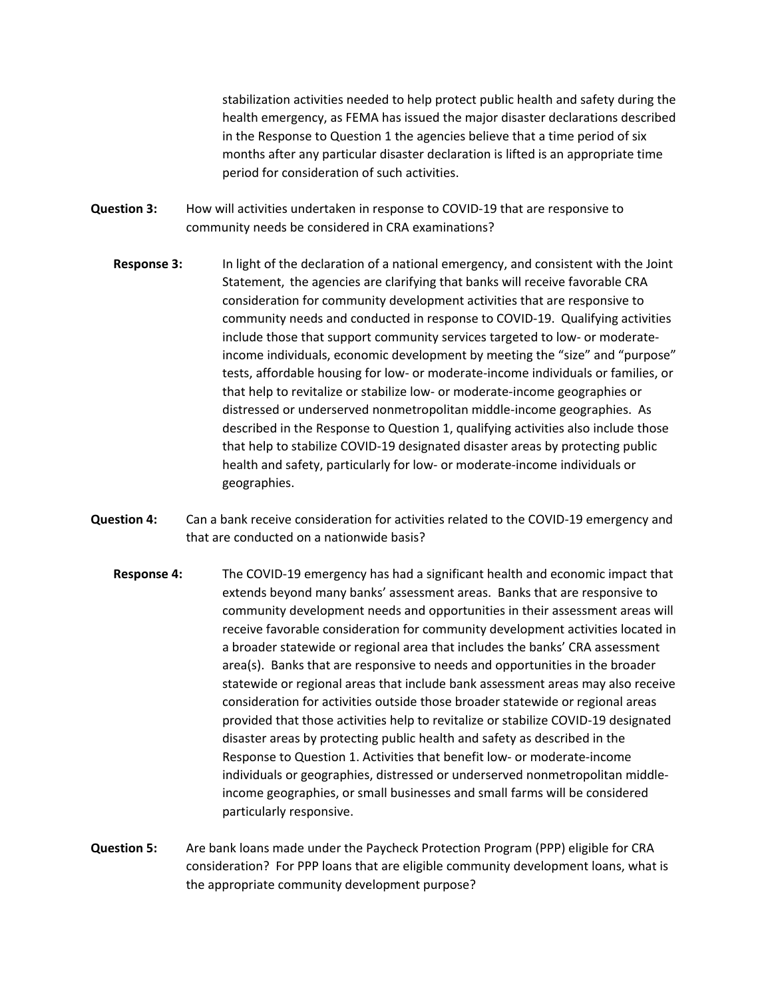stabilization activities needed to help protect public health and safety during the health emergency, as FEMA has issued the major disaster declarations described in the Response to Question 1 the agencies believe that a time period of six months after any particular disaster declaration is lifted is an appropriate time period for consideration of such activities.

- **Question 3:** How will activities undertaken in response to COVID-19 that are responsive to community needs be considered in CRA examinations?
	- **Response 3:** In light of the declaration of a national emergency, and consistent with the Joint Statement, the agencies are clarifying that banks will receive favorable CRA consideration for community development activities that are responsive to community needs and conducted in response to COVID-19. Qualifying activities include those that support community services targeted to low- or moderateincome individuals, economic development by meeting the "size" and "purpose" tests, affordable housing for low- or moderate-income individuals or families, or that help to revitalize or stabilize low- or moderate-income geographies or distressed or underserved nonmetropolitan middle-income geographies. As described in the Response to Question 1, qualifying activities also include those that help to stabilize COVID-19 designated disaster areas by protecting public health and safety, particularly for low- or moderate-income individuals or geographies.
- **Question 4:** Can a bank receive consideration for activities related to the COVID-19 emergency and that are conducted on a nationwide basis?
	- **Response 4:** The COVID-19 emergency has had a significant health and economic impact that extends beyond many banks' assessment areas. Banks that are responsive to community development needs and opportunities in their assessment areas will receive favorable consideration for community development activities located in a broader statewide or regional area that includes the banks' CRA assessment area(s). Banks that are responsive to needs and opportunities in the broader statewide or regional areas that include bank assessment areas may also receive consideration for activities outside those broader statewide or regional areas provided that those activities help to revitalize or stabilize COVID-19 designated disaster areas by protecting public health and safety as described in the Response to Question 1. Activities that benefit low- or moderate-income individuals or geographies, distressed or underserved nonmetropolitan middleincome geographies, or small businesses and small farms will be considered particularly responsive.
- **Question 5:** Are bank loans made under the Paycheck Protection Program (PPP) eligible for CRA consideration? For PPP loans that are eligible community development loans, what is the appropriate community development purpose?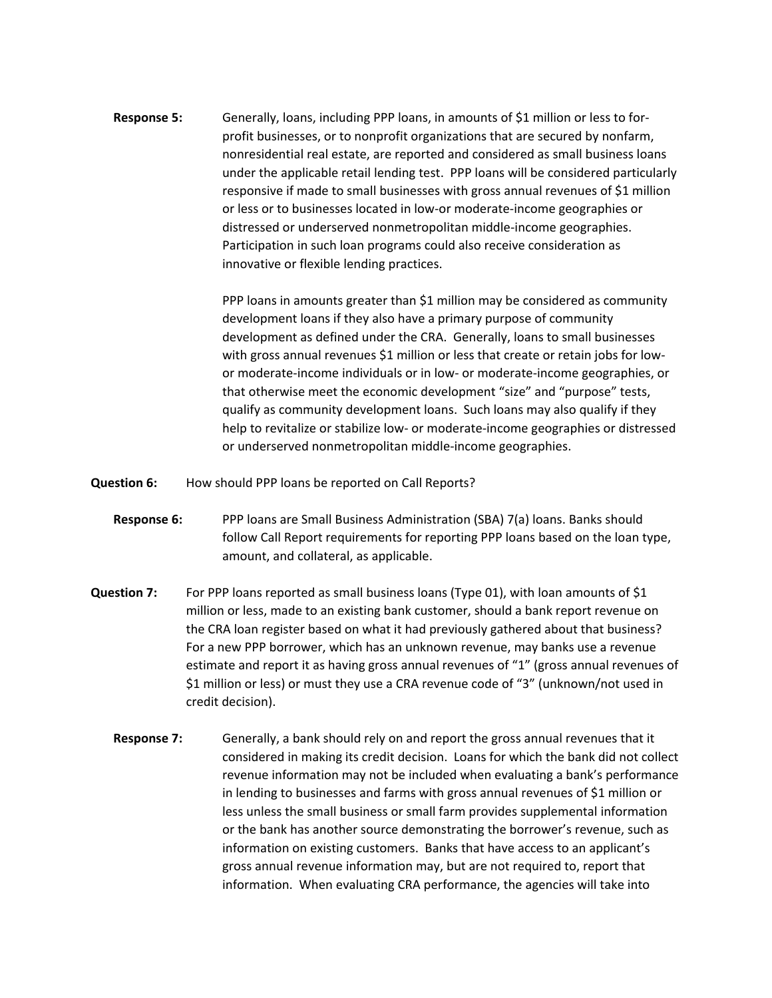**Response 5:** Generally, loans, including PPP loans, in amounts of \$1 million or less to forprofit businesses, or to nonprofit organizations that are secured by nonfarm, nonresidential real estate, are reported and considered as small business loans under the applicable retail lending test. PPP loans will be considered particularly responsive if made to small businesses with gross annual revenues of \$1 million or less or to businesses located in low-or moderate-income geographies or distressed or underserved nonmetropolitan middle-income geographies. Participation in such loan programs could also receive consideration as innovative or flexible lending practices.

> PPP loans in amounts greater than \$1 million may be considered as community development loans if they also have a primary purpose of community development as defined under the CRA. Generally, loans to small businesses with gross annual revenues \$1 million or less that create or retain jobs for lowor moderate-income individuals or in low- or moderate-income geographies, or that otherwise meet the economic development "size" and "purpose" tests, qualify as community development loans. Such loans may also qualify if they help to revitalize or stabilize low- or moderate-income geographies or distressed or underserved nonmetropolitan middle-income geographies.

**Question 6:** How should PPP loans be reported on Call Reports?

- **Response 6:** PPP loans are Small Business Administration (SBA) 7(a) loans. Banks should follow Call Report requirements for reporting PPP loans based on the loan type, amount, and collateral, as applicable.
- **Question 7:** For PPP loans reported as small business loans (Type 01), with loan amounts of \$1 million or less, made to an existing bank customer, should a bank report revenue on the CRA loan register based on what it had previously gathered about that business? For a new PPP borrower, which has an unknown revenue, may banks use a revenue estimate and report it as having gross annual revenues of "1" (gross annual revenues of \$1 million or less) or must they use a CRA revenue code of "3" (unknown/not used in credit decision).
	- **Response 7:** Generally, a bank should rely on and report the gross annual revenues that it considered in making its credit decision. Loans for which the bank did not collect revenue information may not be included when evaluating a bank's performance in lending to businesses and farms with gross annual revenues of \$1 million or less unless the small business or small farm provides supplemental information or the bank has another source demonstrating the borrower's revenue, such as information on existing customers. Banks that have access to an applicant's gross annual revenue information may, but are not required to, report that information. When evaluating CRA performance, the agencies will take into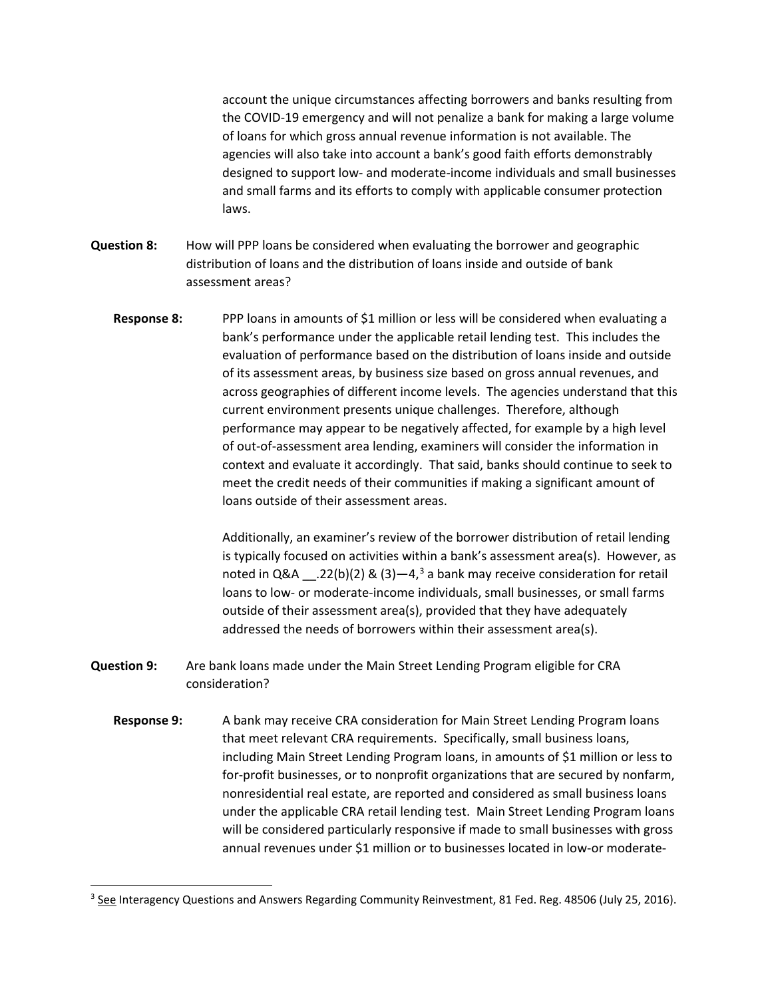account the unique circumstances affecting borrowers and banks resulting from the COVID-19 emergency and will not penalize a bank for making a large volume of loans for which gross annual revenue information is not available. The agencies will also take into account a bank's good faith efforts demonstrably designed to support low- and moderate-income individuals and small businesses and small farms and its efforts to comply with applicable consumer protection laws.

- **Question 8:** How will PPP loans be considered when evaluating the borrower and geographic distribution of loans and the distribution of loans inside and outside of bank assessment areas?
	- **Response 8:** PPP loans in amounts of \$1 million or less will be considered when evaluating a bank's performance under the applicable retail lending test. This includes the evaluation of performance based on the distribution of loans inside and outside of its assessment areas, by business size based on gross annual revenues, and across geographies of different income levels. The agencies understand that this current environment presents unique challenges. Therefore, although performance may appear to be negatively affected, for example by a high level of out-of-assessment area lending, examiners will consider the information in context and evaluate it accordingly. That said, banks should continue to seek to meet the credit needs of their communities if making a significant amount of loans outside of their assessment areas.

Additionally, an examiner's review of the borrower distribution of retail lending is typically focused on activities within a bank's assessment area(s). However, as noted in Q&A  $\quad$  .22(b)(2) & ([3](#page-3-0))—4,<sup>3</sup> a bank may receive consideration for retail loans to low- or moderate-income individuals, small businesses, or small farms outside of their assessment area(s), provided that they have adequately addressed the needs of borrowers within their assessment area(s).

- **Question 9:** Are bank loans made under the Main Street Lending Program eligible for CRA consideration?
	- **Response 9:** A bank may receive CRA consideration for Main Street Lending Program loans that meet relevant CRA requirements. Specifically, small business loans, including Main Street Lending Program loans, in amounts of \$1 million or less to for-profit businesses, or to nonprofit organizations that are secured by nonfarm, nonresidential real estate, are reported and considered as small business loans under the applicable CRA retail lending test. Main Street Lending Program loans will be considered particularly responsive if made to small businesses with gross annual revenues under \$1 million or to businesses located in low-or moderate-

<span id="page-3-0"></span><sup>&</sup>lt;sup>3</sup> See Interagency Questions and Answers Regarding Community Reinvestment, 81 Fed. Reg. 48506 (July 25, 2016).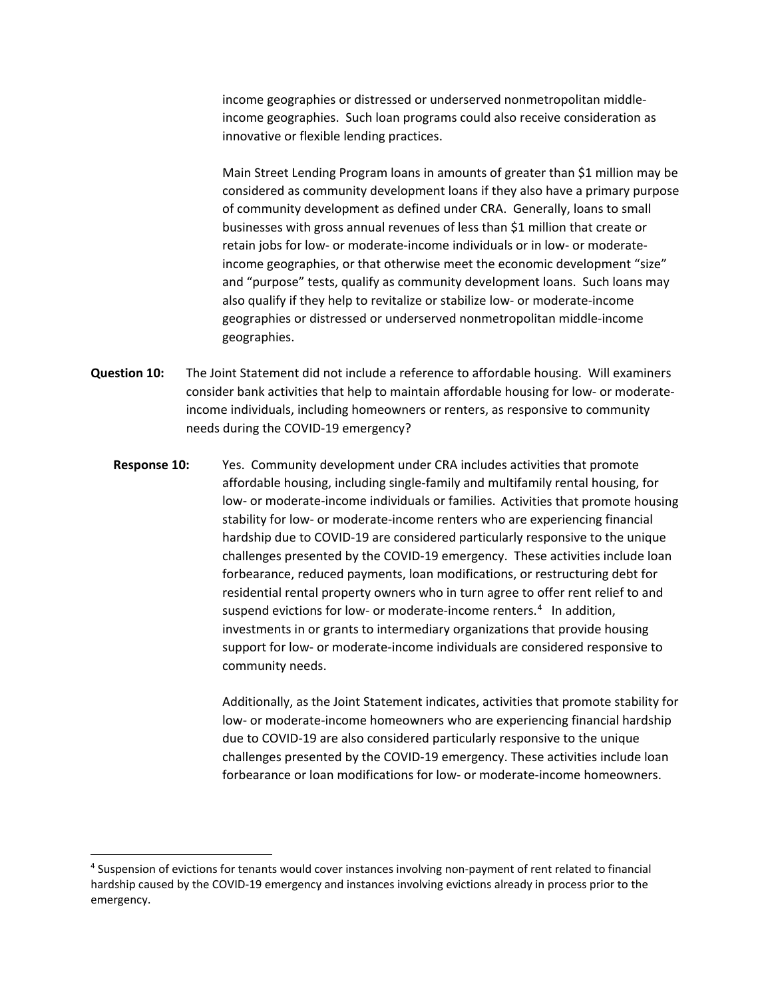income geographies or distressed or underserved nonmetropolitan middleincome geographies. Such loan programs could also receive consideration as innovative or flexible lending practices.

Main Street Lending Program loans in amounts of greater than \$1 million may be considered as community development loans if they also have a primary purpose of community development as defined under CRA. Generally, loans to small businesses with gross annual revenues of less than \$1 million that create or retain jobs for low- or moderate-income individuals or in low- or moderateincome geographies, or that otherwise meet the economic development "size" and "purpose" tests, qualify as community development loans. Such loans may also qualify if they help to revitalize or stabilize low- or moderate-income geographies or distressed or underserved nonmetropolitan middle-income geographies.

- **Question 10:** The Joint Statement did not include a reference to affordable housing. Will examiners consider bank activities that help to maintain affordable housing for low- or moderateincome individuals, including homeowners or renters, as responsive to community needs during the COVID-19 emergency?
	- **Response 10:** Yes. Community development under CRA includes activities that promote affordable housing, including single-family and multifamily rental housing, for low- or moderate-income individuals or families. Activities that promote housing stability for low- or moderate-income renters who are experiencing financial hardship due to COVID-19 are considered particularly responsive to the unique challenges presented by the COVID-19 emergency. These activities include loan forbearance, reduced payments, loan modifications, or restructuring debt for residential rental property owners who in turn agree to offer rent relief to and suspend evictions for low- or moderate-income renters.<sup>[4](#page-4-0)</sup> In addition, investments in or grants to intermediary organizations that provide housing support for low- or moderate-income individuals are considered responsive to community needs.

Additionally, as the Joint Statement indicates, activities that promote stability for low- or moderate-income homeowners who are experiencing financial hardship due to COVID-19 are also considered particularly responsive to the unique challenges presented by the COVID-19 emergency. These activities include loan forbearance or loan modifications for low- or moderate-income homeowners.

<span id="page-4-0"></span> <sup>4</sup> Suspension of evictions for tenants would cover instances involving non-payment of rent related to financial hardship caused by the COVID-19 emergency and instances involving evictions already in process prior to the emergency.